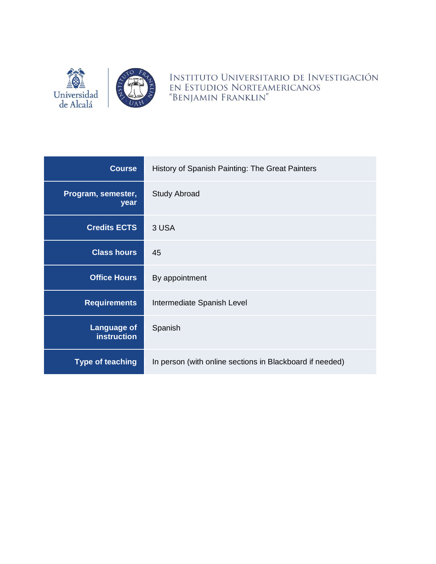

INSTITUTO UNIVERSITARIO DE INVESTIGACIÓN EN ESTUDIOS NORTEAMERICANOS "BENJAMIN FRANKLIN"

| <b>Course</b>                            | History of Spanish Painting: The Great Painters          |  |
|------------------------------------------|----------------------------------------------------------|--|
| Program, semester,<br>year               | <b>Study Abroad</b>                                      |  |
| <b>Credits ECTS</b>                      | 3 USA                                                    |  |
| <b>Class hours</b>                       | 45                                                       |  |
| <b>Office Hours</b>                      | By appointment                                           |  |
| <b>Requirements</b>                      | Intermediate Spanish Level                               |  |
| <b>Language of</b><br><b>instruction</b> | Spanish                                                  |  |
| <b>Type of teaching</b>                  | In person (with online sections in Blackboard if needed) |  |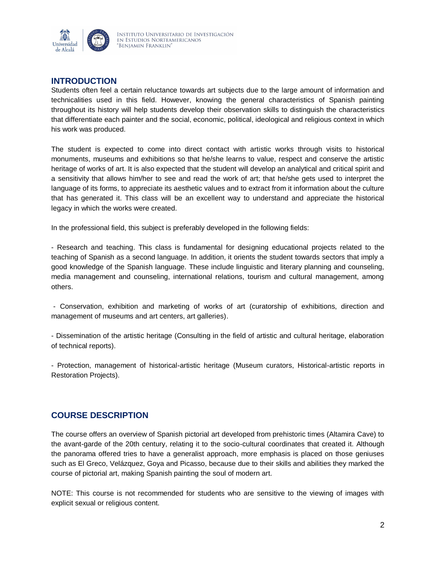

# **INTRODUCTION**

Students often feel a certain reluctance towards art subjects due to the large amount of information and technicalities used in this field. However, knowing the general characteristics of Spanish painting throughout its history will help students develop their observation skills to distinguish the characteristics that differentiate each painter and the social, economic, political, ideological and religious context in which his work was produced.

The student is expected to come into direct contact with artistic works through visits to historical monuments, museums and exhibitions so that he/she learns to value, respect and conserve the artistic heritage of works of art. It is also expected that the student will develop an analytical and critical spirit and a sensitivity that allows him/her to see and read the work of art; that he/she gets used to interpret the language of its forms, to appreciate its aesthetic values and to extract from it information about the culture that has generated it. This class will be an excellent way to understand and appreciate the historical legacy in which the works were created.

In the professional field, this subject is preferably developed in the following fields:

- Research and teaching. This class is fundamental for designing educational projects related to the teaching of Spanish as a second language. In addition, it orients the student towards sectors that imply a good knowledge of the Spanish language. These include linguistic and literary planning and counseling, media management and counseling, international relations, tourism and cultural management, among others.

- Conservation, exhibition and marketing of works of art (curatorship of exhibitions, direction and management of museums and art centers, art galleries).

- Dissemination of the artistic heritage (Consulting in the field of artistic and cultural heritage, elaboration of technical reports).

- Protection, management of historical-artistic heritage (Museum curators, Historical-artistic reports in Restoration Projects).

# **COURSE DESCRIPTION**

The course offers an overview of Spanish pictorial art developed from prehistoric times (Altamira Cave) to the avant-garde of the 20th century, relating it to the socio-cultural coordinates that created it. Although the panorama offered tries to have a generalist approach, more emphasis is placed on those geniuses such as El Greco, Velázquez, Goya and Picasso, because due to their skills and abilities they marked the course of pictorial art, making Spanish painting the soul of modern art.

NOTE: This course is not recommended for students who are sensitive to the viewing of images with explicit sexual or religious content.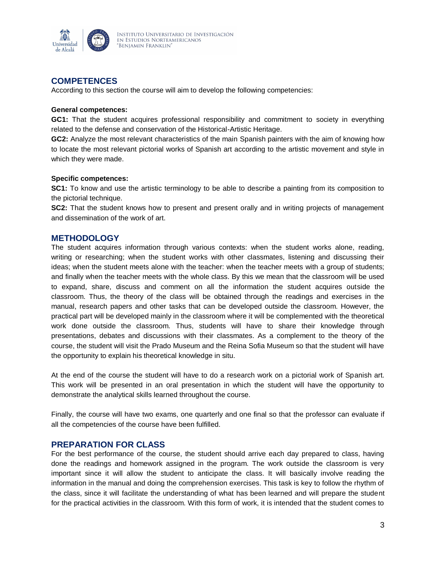

## **COMPETENCES**

According to this section the course will aim to develop the following competencies:

### **General competences:**

**GC1:** That the student acquires professional responsibility and commitment to society in everything related to the defense and conservation of the Historical-Artistic Heritage.

**GC2:** Analyze the most relevant characteristics of the main Spanish painters with the aim of knowing how to locate the most relevant pictorial works of Spanish art according to the artistic movement and style in which they were made.

### **Specific competences:**

**SC1:** To know and use the artistic terminology to be able to describe a painting from its composition to the pictorial technique.

**SC2:** That the student knows how to present and present orally and in writing projects of management and dissemination of the work of art.

### **METHODOLOGY**

The student acquires information through various contexts: when the student works alone, reading, writing or researching; when the student works with other classmates, listening and discussing their ideas; when the student meets alone with the teacher: when the teacher meets with a group of students; and finally when the teacher meets with the whole class. By this we mean that the classroom will be used to expand, share, discuss and comment on all the information the student acquires outside the classroom. Thus, the theory of the class will be obtained through the readings and exercises in the manual, research papers and other tasks that can be developed outside the classroom. However, the practical part will be developed mainly in the classroom where it will be complemented with the theoretical work done outside the classroom. Thus, students will have to share their knowledge through presentations, debates and discussions with their classmates. As a complement to the theory of the course, the student will visit the Prado Museum and the Reina Sofia Museum so that the student will have the opportunity to explain his theoretical knowledge in situ.

At the end of the course the student will have to do a research work on a pictorial work of Spanish art. This work will be presented in an oral presentation in which the student will have the opportunity to demonstrate the analytical skills learned throughout the course.

Finally, the course will have two exams, one quarterly and one final so that the professor can evaluate if all the competencies of the course have been fulfilled.

### **PREPARATION FOR CLASS**

For the best performance of the course, the student should arrive each day prepared to class, having done the readings and homework assigned in the program. The work outside the classroom is very important since it will allow the student to anticipate the class. It will basically involve reading the information in the manual and doing the comprehension exercises. This task is key to follow the rhythm of the class, since it will facilitate the understanding of what has been learned and will prepare the student for the practical activities in the classroom. With this form of work, it is intended that the student comes to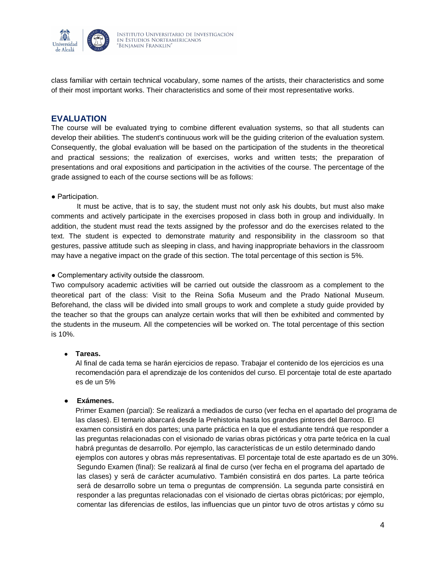

class familiar with certain technical vocabulary, some names of the artists, their characteristics and some of their most important works. Their characteristics and some of their most representative works.

### **EVALUATION**

The course will be evaluated trying to combine different evaluation systems, so that all students can develop their abilities. The student's continuous work will be the guiding criterion of the evaluation system. Consequently, the global evaluation will be based on the participation of the students in the theoretical and practical sessions; the realization of exercises, works and written tests; the preparation of presentations and oral expositions and participation in the activities of the course. The percentage of the grade assigned to each of the course sections will be as follows:

### ● Participation.

It must be active, that is to say, the student must not only ask his doubts, but must also make comments and actively participate in the exercises proposed in class both in group and individually. In addition, the student must read the texts assigned by the professor and do the exercises related to the text. The student is expected to demonstrate maturity and responsibility in the classroom so that gestures, passive attitude such as sleeping in class, and having inappropriate behaviors in the classroom may have a negative impact on the grade of this section. The total percentage of this section is 5%.

### • Complementary activity outside the classroom.

Two compulsory academic activities will be carried out outside the classroom as a complement to the theoretical part of the class: Visit to the Reina Sofia Museum and the Prado National Museum. Beforehand, the class will be divided into small groups to work and complete a study guide provided by the teacher so that the groups can analyze certain works that will then be exhibited and commented by the students in the museum. All the competencies will be worked on. The total percentage of this section is 10%.

### ● **Tareas.**

Al final de cada tema se harán ejercicios de repaso. Trabajar el contenido de los ejercicios es una recomendación para el aprendizaje de los contenidos del curso. El porcentaje total de este apartado es de un 5%

### ● **Exámenes.**

Primer Examen (parcial): Se realizará a mediados de curso (ver fecha en el apartado del programa de las clases). El temario abarcará desde la Prehistoria hasta los grandes pintores del Barroco. El examen consistirá en dos partes; una parte práctica en la que el estudiante tendrá que responder a las preguntas relacionadas con el visionado de varias obras pictóricas y otra parte teórica en la cual habrá preguntas de desarrollo. Por ejemplo, las características de un estilo determinado dando ejemplos con autores y obras más representativas. El porcentaje total de este apartado es de un 30%. Segundo Examen (final): Se realizará al final de curso (ver fecha en el programa del apartado de las clases) y será de carácter acumulativo. También consistirá en dos partes. La parte teórica será de desarrollo sobre un tema o preguntas de comprensión. La segunda parte consistirá en responder a las preguntas relacionadas con el visionado de ciertas obras pictóricas; por ejemplo, comentar las diferencias de estilos, las influencias que un pintor tuvo de otros artistas y cómo su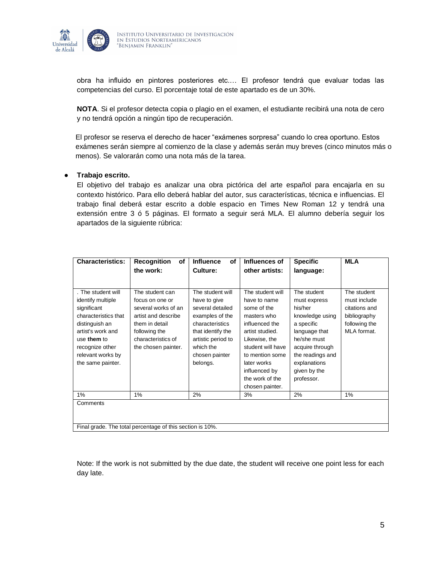

obra ha influido en pintores posteriores etc.… El profesor tendrá que evaluar todas las competencias del curso. El porcentaje total de este apartado es de un 30%.

**NOTA**. Si el profesor detecta copia o plagio en el examen, el estudiante recibirá una nota de cero y no tendrá opción a ningún tipo de recuperación.

El profesor se reserva el derecho de hacer "exámenes sorpresa" cuando lo crea oportuno. Estos exámenes serán siempre al comienzo de la clase y además serán muy breves (cinco minutos más o menos). Se valorarán como una nota más de la tarea.

### ● **Trabajo escrito.**

El objetivo del trabajo es analizar una obra pictórica del arte español para encajarla en su contexto histórico. Para ello deberá hablar del autor, sus características, técnica e influencias. El trabajo final deberá estar escrito a doble espacio en Times New Roman 12 y tendrá una extensión entre 3 ó 5 páginas. El formato a seguir será MLA. El alumno debería seguir los apartados de la siguiente rúbrica:

| <b>Characteristics:</b>                                   | <b>Recognition</b><br>of<br>the work: | <b>Influence</b><br>οf<br>Culture: | Influences of<br>other artists: | <b>Specific</b><br>language: | <b>MLA</b>    |
|-----------------------------------------------------------|---------------------------------------|------------------------------------|---------------------------------|------------------------------|---------------|
|                                                           |                                       |                                    |                                 |                              |               |
| . The student will                                        | The student can                       | The student will                   | The student will                | The student                  | The student   |
| identify multiple                                         | focus on one or                       | have to give                       | have to name                    | must express                 | must include  |
| significant                                               | several works of an                   | several detailed                   | some of the                     | his/her                      | citations and |
| characteristics that                                      | artist and describe                   | examples of the                    | masters who                     | knowledge using              | bibliography  |
| distinguish an                                            | them in detail                        | characteristics                    | influenced the                  | a specific                   | following the |
| artist's work and                                         | following the                         | that identify the                  | artist studied.                 | language that                | MLA format.   |
| use them to                                               | characteristics of                    | artistic period to                 | Likewise, the                   | he/she must                  |               |
| recognize other                                           | the chosen painter.                   | which the                          | student will have               | acquire through              |               |
| relevant works by                                         |                                       | chosen painter                     | to mention some                 | the readings and             |               |
| the same painter.                                         |                                       | belongs.                           | later works                     | explanations                 |               |
|                                                           |                                       |                                    | influenced by                   | given by the                 |               |
|                                                           |                                       |                                    | the work of the                 | professor.                   |               |
|                                                           |                                       |                                    | chosen painter.                 |                              |               |
| 1%                                                        | 1%                                    | 2%                                 | 3%                              | 2%                           | 1%            |
| Comments                                                  |                                       |                                    |                                 |                              |               |
|                                                           |                                       |                                    |                                 |                              |               |
|                                                           |                                       |                                    |                                 |                              |               |
| Final grade. The total percentage of this section is 10%. |                                       |                                    |                                 |                              |               |

Note: If the work is not submitted by the due date, the student will receive one point less for each day late.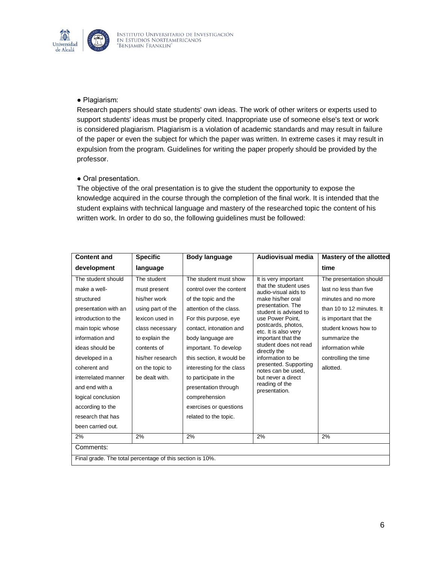

### ● Plagiarism:

Research papers should state students' own ideas. The work of other writers or experts used to support students' ideas must be properly cited. Inappropriate use of someone else's text or work is considered plagiarism. Plagiarism is a violation of academic standards and may result in failure of the paper or even the subject for which the paper was written. In extreme cases it may result in expulsion from the program. Guidelines for writing the paper properly should be provided by the professor.

### ● Oral presentation.

The objective of the oral presentation is to give the student the opportunity to expose the knowledge acquired in the course through the completion of the final work. It is intended that the student explains with technical language and mastery of the researched topic the content of his written work. In order to do so, the following guidelines must be followed:

| <b>Content and</b>                                        | <b>Specific</b>   | Body language             | Audiovisual media                             | <b>Mastery of the allotted</b> |
|-----------------------------------------------------------|-------------------|---------------------------|-----------------------------------------------|--------------------------------|
| development                                               | language          |                           |                                               | time                           |
| The student should                                        | The student       | The student must show     | It is very important                          | The presentation should        |
| make a well-                                              | must present      | control over the content  | that the student uses<br>audio-visual aids to | last no less than five         |
| structured                                                | his/her work      | of the topic and the      | make his/her oral                             | minutes and no more            |
| presentation with an                                      | using part of the | attention of the class.   | presentation. The<br>student is advised to    | than 10 to 12 minutes. It      |
| introduction to the                                       | lexicon used in   | For this purpose, eye     | use Power Point,                              | is important that the          |
| main topic whose                                          | class necessary   | contact, intonation and   | postcards, photos,<br>etc. It is also very    | student knows how to           |
| information and                                           | to explain the    | body language are         | important that the                            | summarize the                  |
| ideas should be                                           | contents of       | important. To develop     | student does not read<br>directly the         | information while              |
| developed in a                                            | his/her research  | this section, it would be | information to be                             | controlling the time           |
| coherent and                                              | on the topic to   | interesting for the class | presented. Supporting<br>notes can be used.   | allotted.                      |
| interrelated manner                                       | be dealt with.    | to participate in the     | but never a direct                            |                                |
| and end with a                                            |                   | presentation through      | reading of the<br>presentation.               |                                |
| logical conclusion                                        |                   | comprehension             |                                               |                                |
| according to the                                          |                   | exercises or questions    |                                               |                                |
| research that has                                         |                   | related to the topic.     |                                               |                                |
| been carried out.                                         |                   |                           |                                               |                                |
| 2%                                                        | 2%                | 2%                        | 2%                                            | 2%                             |
| Comments:                                                 |                   |                           |                                               |                                |
| Final grade. The total percentage of this section is 10%. |                   |                           |                                               |                                |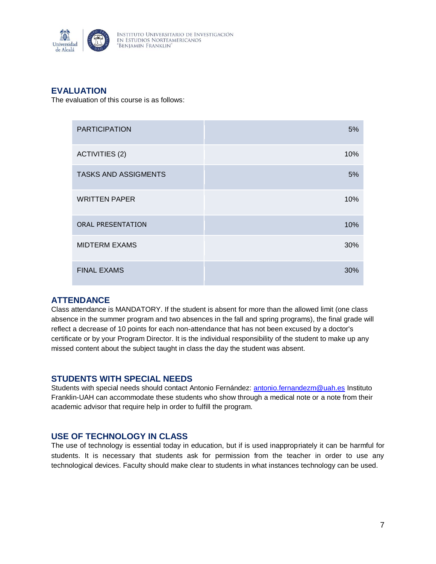

# **EVALUATION**

The evaluation of this course is as follows:

| <b>PARTICIPATION</b>        | 5%  |
|-----------------------------|-----|
| <b>ACTIVITIES (2)</b>       | 10% |
| <b>TASKS AND ASSIGMENTS</b> | 5%  |
| <b>WRITTEN PAPER</b>        | 10% |
| <b>ORAL PRESENTATION</b>    | 10% |
| <b>MIDTERM EXAMS</b>        | 30% |
| <b>FINAL EXAMS</b>          | 30% |

## **ATTENDANCE**

Class attendance is MANDATORY. If the student is absent for more than the allowed limit (one class absence in the summer program and two absences in the fall and spring programs), the final grade will reflect a decrease of 10 points for each non-attendance that has not been excused by a doctor's certificate or by your Program Director. It is the individual responsibility of the student to make up any missed content about the subject taught in class the day the student was absent.

## **STUDENTS WITH SPECIAL NEEDS**

Students with special needs should contact Antonio Fernández: [antonio.fernandezm@uah.es](mailto:antonio.fernandezm@uah.es) Instituto Franklin-UAH can accommodate these students who show through a medical note or a note from their academic advisor that require help in order to fulfill the program.

## **USE OF TECHNOLOGY IN CLASS**

The use of technology is essential today in education, but if is used inappropriately it can be harmful for students. It is necessary that students ask for permission from the teacher in order to use any technological devices. Faculty should make clear to students in what instances technology can be used.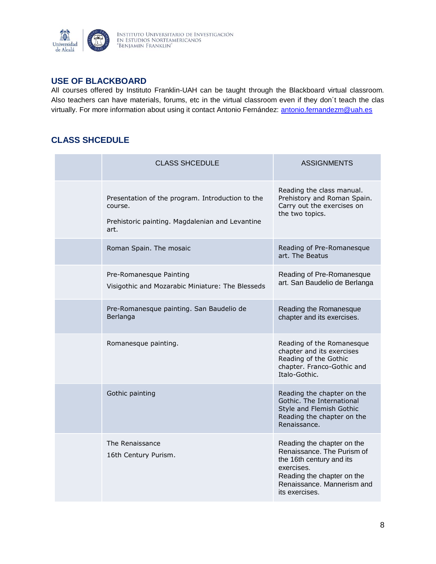

## **USE OF BLACKBOARD**

All courses offered by Instituto Franklin-UAH can be taught through the Blackboard virtual classroom. Also teachers can have materials, forums, etc in the virtual classroom even if they don´t teach the clas virtually. For more information about using it contact Antonio Fernández: [antonio.fernandezm@uah.es](mailto:antonio.fernandezm@uah.es)

# **CLASS SHCEDULE**

| <b>CLASS SHCEDULE</b>                                                                                                  | <b>ASSIGNMENTS</b>                                                                                                                                                               |
|------------------------------------------------------------------------------------------------------------------------|----------------------------------------------------------------------------------------------------------------------------------------------------------------------------------|
| Presentation of the program. Introduction to the<br>course.<br>Prehistoric painting. Magdalenian and Levantine<br>art. | Reading the class manual.<br>Prehistory and Roman Spain.<br>Carry out the exercises on<br>the two topics.                                                                        |
| Roman Spain. The mosaic                                                                                                | Reading of Pre-Romanesque<br>art. The Beatus                                                                                                                                     |
| Pre-Romanesque Painting<br>Visigothic and Mozarabic Miniature: The Blesseds                                            | Reading of Pre-Romanesque<br>art. San Baudelio de Berlanga                                                                                                                       |
| Pre-Romanesque painting. San Baudelio de<br>Berlanga                                                                   | Reading the Romanesque<br>chapter and its exercises.                                                                                                                             |
| Romanesque painting.                                                                                                   | Reading of the Romanesque<br>chapter and its exercises<br>Reading of the Gothic<br>chapter. Franco-Gothic and<br>Italo-Gothic.                                                   |
| Gothic painting                                                                                                        | Reading the chapter on the<br>Gothic. The International<br>Style and Flemish Gothic<br>Reading the chapter on the<br>Renaissance.                                                |
| The Renaissance<br>16th Century Purism.                                                                                | Reading the chapter on the<br>Renaissance. The Purism of<br>the 16th century and its<br>exercises.<br>Reading the chapter on the<br>Renaissance, Mannerism and<br>its exercises. |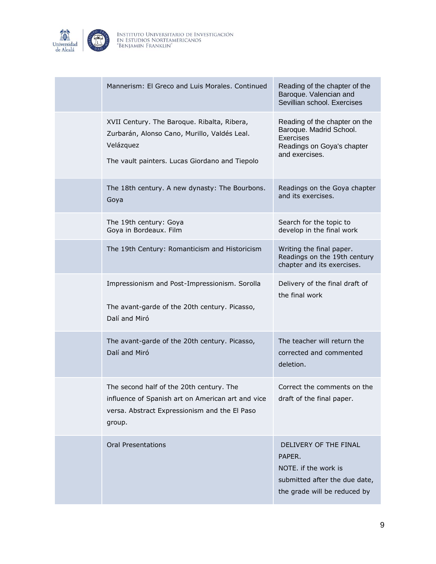

| Mannerism: El Greco and Luis Morales. Continued                                                                                                            | Reading of the chapter of the<br>Baroque. Valencian and<br>Sevillian school. Exercises                                       |
|------------------------------------------------------------------------------------------------------------------------------------------------------------|------------------------------------------------------------------------------------------------------------------------------|
| XVII Century. The Baroque. Ribalta, Ribera,<br>Zurbarán, Alonso Cano, Murillo, Valdés Leal.<br>Velázquez<br>The vault painters. Lucas Giordano and Tiepolo | Reading of the chapter on the<br>Baroque. Madrid School.<br><b>Exercises</b><br>Readings on Goya's chapter<br>and exercises. |
| The 18th century. A new dynasty: The Bourbons.<br>Goya                                                                                                     | Readings on the Goya chapter<br>and its exercises.                                                                           |
| The 19th century: Goya<br>Goya in Bordeaux. Film                                                                                                           | Search for the topic to<br>develop in the final work                                                                         |
| The 19th Century: Romanticism and Historicism                                                                                                              | Writing the final paper.<br>Readings on the 19th century<br>chapter and its exercises.                                       |
| Impressionism and Post-Impressionism. Sorolla<br>The avant-garde of the 20th century. Picasso,<br>Dalí and Miró                                            | Delivery of the final draft of<br>the final work                                                                             |
| The avant-garde of the 20th century. Picasso,<br>Dalí and Miró                                                                                             | The teacher will return the<br>corrected and commented<br>deletion.                                                          |
| The second half of the 20th century. The<br>influence of Spanish art on American art and vice<br>versa. Abstract Expressionism and the El Paso<br>group.   | Correct the comments on the<br>draft of the final paper.                                                                     |
| <b>Oral Presentations</b>                                                                                                                                  | DELIVERY OF THE FINAL<br>PAPER.<br>NOTE. if the work is<br>submitted after the due date,<br>the grade will be reduced by     |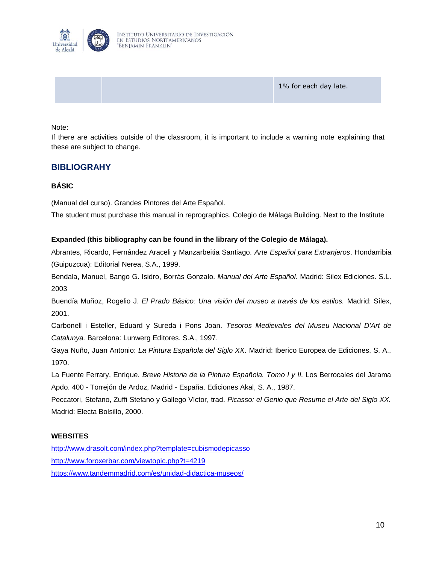

1% for each day late.

Note:

If there are activities outside of the classroom, it is important to include a warning note explaining that these are subject to change.

## **BIBLIOGRAHY**

### **BÁSIC**

(Manual del curso). Grandes Pintores del Arte Español.

The student must purchase this manual in reprographics. Colegio de Málaga Building. Next to the Institute

### **Expanded (this bibliography can be found in the library of the Colegio de Málaga).**

Abrantes, Ricardo, Fernández Araceli y Manzarbeitia Santiago. *Arte Español para Extranjeros*. Hondarribia (Guipuzcua): Editorial Nerea, S.A., 1999.

Bendala, Manuel, Bango G. Isidro, Borrás Gonzalo. *Manual del Arte Español*. Madrid: Silex Ediciones. S.L. 2003

Buendía Muñoz, Rogelio J. *El Prado Básico: Una visión del museo a través de los estilos.* Madrid: Sílex, 2001.

Carbonell i Esteller, Eduard y Sureda i Pons Joan. *Tesoros Medievales del Museu Nacional D'Art de Catalunya.* Barcelona: Lunwerg Editores. S.A., 1997.

Gaya Nuño, Juan Antonio: *La Pintura Española del Siglo XX*. Madrid: Iberico Europea de Ediciones, S. A., 1970.

La Fuente Ferrary, Enrique. *Breve Historia de la Pintura Española. Tomo I y II.* Los Berrocales del Jarama Apdo. 400 - Torrejón de Ardoz, Madrid - España. Ediciones Akal, S. A., 1987.

Peccatori, Stefano, Zuffi Stefano y Gallego Víctor, trad. *Picasso: el Genio que Resume el Arte del Siglo XX.* Madrid: Electa Bolsillo, 2000.

### **WEBSITES**

<http://www.drasolt.com/index.php?template=cubismodepicasso> <http://www.foroxerbar.com/viewtopic.php?t=4219> <https://www.tandemmadrid.com/es/unidad-didactica-museos/>